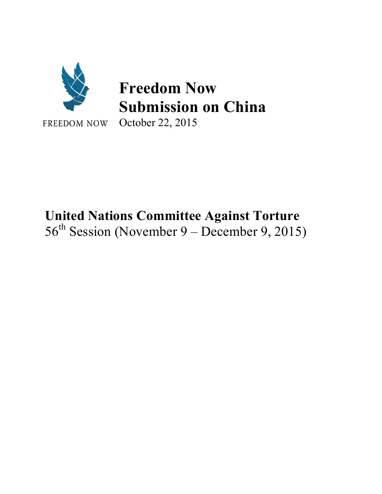

# **United Nations Committee Against Torture**  $56<sup>th</sup>$  Session (November 9 – December 9, 2015)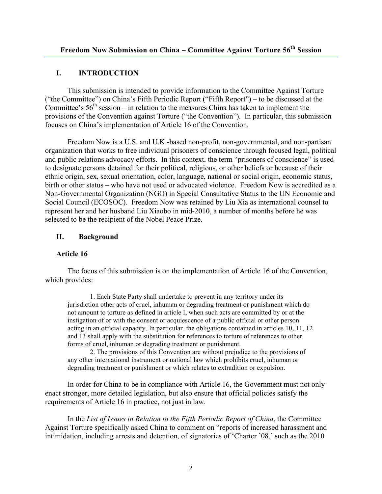# **I. INTRODUCTION**

This submission is intended to provide information to the Committee Against Torture ("the Committee") on China's Fifth Periodic Report ("Fifth Report") – to be discussed at the Committee's  $56<sup>th</sup>$  session – in relation to the measures China has taken to implement the provisions of the Convention against Torture ("the Convention"). In particular, this submission focuses on China's implementation of Article 16 of the Convention.

Freedom Now is a U.S. and U.K.-based non-profit, non-governmental, and non-partisan organization that works to free individual prisoners of conscience through focused legal, political and public relations advocacy efforts. In this context, the term "prisoners of conscience" is used to designate persons detained for their political, religious, or other beliefs or because of their ethnic origin, sex, sexual orientation, color, language, national or social origin, economic status, birth or other status – who have not used or advocated violence. Freedom Now is accredited as a Non-Governmental Organization (NGO) in Special Consultative Status to the UN Economic and Social Council (ECOSOC). Freedom Now was retained by Liu Xia as international counsel to represent her and her husband Liu Xiaobo in mid-2010, a number of months before he was selected to be the recipient of the Nobel Peace Prize.

## **II. Background**

## **Article 16**

The focus of this submission is on the implementation of Article 16 of the Convention, which provides:

1. Each State Party shall undertake to prevent in any territory under its jurisdiction other acts of cruel, inhuman or degrading treatment or punishment which do not amount to torture as defined in article I, when such acts are committed by or at the instigation of or with the consent or acquiescence of a public official or other person acting in an official capacity. In particular, the obligations contained in articles 10, 11, 12 and 13 shall apply with the substitution for references to torture of references to other forms of cruel, inhuman or degrading treatment or punishment.

2. The provisions of this Convention are without prejudice to the provisions of any other international instrument or national law which prohibits cruel, inhuman or degrading treatment or punishment or which relates to extradition or expulsion.

In order for China to be in compliance with Article 16, the Government must not only enact stronger, more detailed legislation, but also ensure that official policies satisfy the requirements of Article 16 in practice, not just in law.

In the *List of Issues in Relation to the Fifth Periodic Report of China*, the Committee Against Torture specifically asked China to comment on "reports of increased harassment and intimidation, including arrests and detention, of signatories of 'Charter '08,' such as the 2010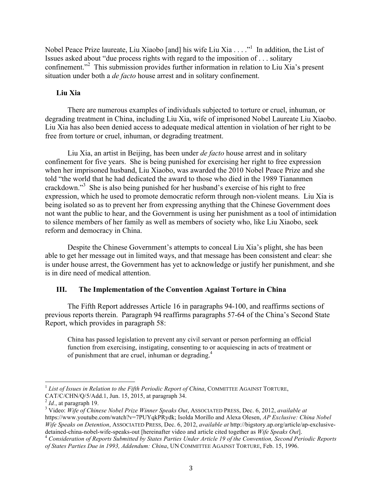Nobel Peace Prize laureate, Liu Xiaobo [and] his wife Liu Xia . . . ."<sup>1</sup> In addition, the List of Issues asked about "due process rights with regard to the imposition of . . . solitary confinement."<sup>2</sup> This submission provides further information in relation to Liu Xia's present situation under both a *de facto* house arrest and in solitary confinement.

#### **Liu Xia**

There are numerous examples of individuals subjected to torture or cruel, inhuman, or degrading treatment in China, including Liu Xia, wife of imprisoned Nobel Laureate Liu Xiaobo. Liu Xia has also been denied access to adequate medical attention in violation of her right to be free from torture or cruel, inhuman, or degrading treatment.

Liu Xia, an artist in Beijing, has been under *de facto* house arrest and in solitary confinement for five years. She is being punished for exercising her right to free expression when her imprisoned husband, Liu Xiaobo, was awarded the 2010 Nobel Peace Prize and she told "the world that he had dedicated the award to those who died in the 1989 Tiananmen crackdown."<sup>3</sup> She is also being punished for her husband's exercise of his right to free expression, which he used to promote democratic reform through non-violent means. Liu Xia is being isolated so as to prevent her from expressing anything that the Chinese Government does not want the public to hear, and the Government is using her punishment as a tool of intimidation to silence members of her family as well as members of society who, like Liu Xiaobo, seek reform and democracy in China.

Despite the Chinese Government's attempts to conceal Liu Xia's plight, she has been able to get her message out in limited ways, and that message has been consistent and clear: she is under house arrest, the Government has yet to acknowledge or justify her punishment, and she is in dire need of medical attention.

#### **III. The Implementation of the Convention Against Torture in China**

The Fifth Report addresses Article 16 in paragraphs 94-100, and reaffirms sections of previous reports therein. Paragraph 94 reaffirms paragraphs 57-64 of the China's Second State Report, which provides in paragraph 58:

China has passed legislation to prevent any civil servant or person performing an official function from exercising, instigating, consenting to or acquiescing in acts of treatment or of punishment that are cruel, inhuman or degrading.<sup>4</sup>

<sup>&</sup>lt;sup>1</sup> List of Issues in Relation to the Fifth Periodic Report of China, COMMITTEE AGAINST TORTURE,

CAT/C/CHN/Q/5/Add.1, Jun. 15, 2015, at paragraph 34.<br> $^{2}$  Id., at paragraph 19.

<sup>&</sup>lt;sup>3</sup> Video: *Wife of Chinese Nobel Prize Winner Speaks Out*, ASSOCIATED PRESS, Dec. 6, 2012, *available at* https://www.youtube.com/watch?v=7PUYqkPRydk; Isolda Morillo and Alexa Olesen, *AP Exclusive: China Nobel Wife Speaks on Detention*, ASSOCIATED PRESS, Dec. 6, 2012, *available at* http://bigstory.ap.org/article/ap-exclusivedetained-china-nobel-wife-speaks-out [hereinafter video and article cited together as Wife Speaks Out].<br><sup>4</sup> Consideration of Reports Submitted by States Parties Under Article 19 of the Convention, Second Periodic Reports

*of States Parties Due in 1993, Addendum: China*, UN COMMITTEE AGAINST TORTURE, Feb. 15, 1996.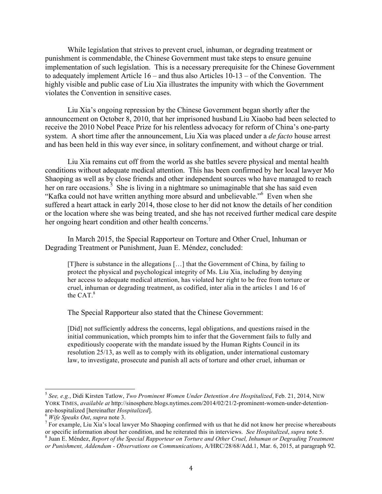While legislation that strives to prevent cruel, inhuman, or degrading treatment or punishment is commendable, the Chinese Government must take steps to ensure genuine implementation of such legislation. This is a necessary prerequisite for the Chinese Government to adequately implement Article 16 – and thus also Articles 10-13 – of the Convention. The highly visible and public case of Liu Xia illustrates the impunity with which the Government violates the Convention in sensitive cases.

Liu Xia's ongoing repression by the Chinese Government began shortly after the announcement on October 8, 2010, that her imprisoned husband Liu Xiaobo had been selected to receive the 2010 Nobel Peace Prize for his relentless advocacy for reform of China's one-party system. A short time after the announcement, Liu Xia was placed under a *de facto* house arrest and has been held in this way ever since, in solitary confinement, and without charge or trial.

Liu Xia remains cut off from the world as she battles severe physical and mental health conditions without adequate medical attention. This has been confirmed by her local lawyer Mo Shaoping as well as by close friends and other independent sources who have managed to reach her on rare occasions.<sup>5</sup> She is living in a nightmare so unimaginable that she has said even "Kafka could not have written anything more absurd and unbelievable."6 Even when she suffered a heart attack in early 2014, those close to her did not know the details of her condition or the location where she was being treated, and she has not received further medical care despite her ongoing heart condition and other health concerns.<sup>7</sup>

In March 2015, the Special Rapporteur on Torture and Other Cruel, Inhuman or Degrading Treatment or Punishment, Juan E. Méndez, concluded:

[T]here is substance in the allegations [...] that the Government of China, by failing to protect the physical and psychological integrity of Ms. Liu Xia, including by denying her access to adequate medical attention, has violated her right to be free from torture or cruel, inhuman or degrading treatment, as codified, inter alia in the articles 1 and 16 of the CAT. $8$ 

The Special Rapporteur also stated that the Chinese Government:

[Did] not sufficiently address the concerns, legal obligations, and questions raised in the initial communication, which prompts him to infer that the Government fails to fully and expeditiously cooperate with the mandate issued by the Human Rights Council in its resolution 25/13, as well as to comply with its obligation, under international customary law, to investigate, prosecute and punish all acts of torture and other cruel, inhuman or

 <sup>5</sup> *See, e.g.*, Didi Kirsten Tatlow, *Two Prominent Women Under Detention Are Hospitalized*, Feb. 21, 2014, NEW YORK TIMES, *available at* http://sinosphere.blogs.nytimes.com/2014/02/21/2-prominent-women-under-detention-

<sup>&</sup>lt;sup>6</sup> *Wife Speaks Out*, *supra* note 3.<br><sup>6</sup> *Wife Speaks Out*, *supra* note 3.<br><sup>7</sup> For example, Liu Xia's local lawyer Mo Shaoping confirmed with us that he did not know her precise whereabouts or specific information about <sup>8</sup> Juan E. Méndez, Report of the Special Rapporteur on Torture and Other Cruel, Inhuman or Degrading Treatment

*or Punishment, Addendum - Observations on Communications*, A/HRC/28/68/Add.1, Mar. 6, 2015, at paragraph 92.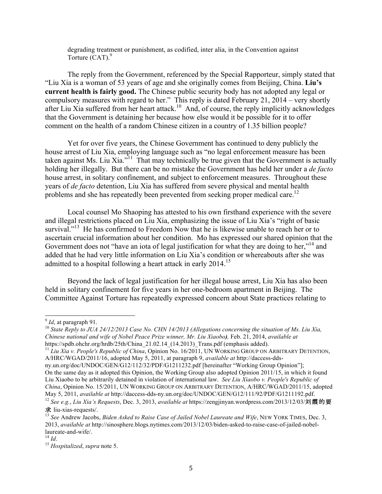degrading treatment or punishment, as codified, inter alia, in the Convention against Torture  $(CAT)$ .<sup>9</sup>

The reply from the Government, referenced by the Special Rapporteur, simply stated that "Liu Xia is a woman of 53 years of age and she originally comes from Beijing, China. **Liu's current health is fairly good.** The Chinese public security body has not adopted any legal or compulsory measures with regard to her." This reply is dated February 21, 2014 – very shortly after Liu Xia suffered from her heart attack.<sup>10</sup> And, of course, the reply implicitly acknowledges that the Government is detaining her because how else would it be possible for it to offer comment on the health of a random Chinese citizen in a country of 1.35 billion people?

Yet for over five years, the Chinese Government has continued to deny publicly the house arrest of Liu Xia, employing language such as "no legal enforcement measure has been taken against Ms. Liu Xia. $i$ <sup>11</sup> That may technically be true given that the Government is actually holding her illegally. But there can be no mistake the Government has held her under a *de facto* house arrest, in solitary confinement, and subject to enforcement measures. Throughout these years of *de facto* detention, Liu Xia has suffered from severe physical and mental health problems and she has repeatedly been prevented from seeking proper medical care.<sup>12</sup>

Local counsel Mo Shaoping has attested to his own firsthand experience with the severe and illegal restrictions placed on Liu Xia, emphasizing the issue of Liu Xia's "right of basic survival."<sup>13</sup> He has confirmed to Freedom Now that he is likewise unable to reach her or to ascertain crucial information about her condition. Mo has expressed our shared opinion that the Government does not "have an iota of legal justification for what they are doing to her,"<sup>14</sup> and added that he had very little information on Liu Xia's condition or whereabouts after she was admitted to a hospital following a heart attack in early  $2014$ .<sup>15</sup>

Beyond the lack of legal justification for her illegal house arrest, Liu Xia has also been held in solitary confinement for five years in her one-bedroom apartment in Beijing. The Committee Against Torture has repeatedly expressed concern about State practices relating to

<sup>&</sup>lt;sup>9</sup> *Id*, at paragraph 91.<br><sup>10</sup> *State Reply to JUA 24/12/2013 Case No. CHN 14/2013 (Allegations concerning the situation of Ms. Liu Xia, Chinese national and wife of Nobel Peace Prize winner, Mr. Liu Xiaobo),* Feb. 21, 2014, *available at* https://spdb.ohchr.org/hrdb/25th/China\_21.02.14\_(14.2013)\_Trans.pdf (emphasis added).

<sup>&</sup>lt;sup>11</sup> *Liu Xia v. People's Republic of China*, Opinion No. 16/2011, UN WORKING GROUP ON ARBITRARY DETENTION, A/HRC/WGAD/2011/16, adopted May 5, 2011, at paragraph 9, *available at* http://daccess-dds-

ny.un.org/doc/UNDOC/GEN/G12/112/32/PDF/G1211232.pdf [hereinafter "Working Group Opinion"]; On the same day as it adopted this Opinion, the Working Group also adopted Opinion 2011/15, in which it found Liu Xiaobo to be arbitrarily detained in violation of international law. *See Liu Xiaobo v. People's Republic of China*, Opinion No. 15/2011, UN WORKING GROUP ON ARBITRARY DETENTION, A/HRC/WGAD/2011/15, adopted May 5, 2011, *available at* http://daccess-dds-ny.un.org/doc/UNDOC/GEN/G12/111/92/PDF/G1211192.pdf.

<sup>12</sup> *See e.g.*, *Liu Xia's Requests*, Dec. 3, 2013, *available at* https://zengjinyan.wordpress.com/2013/12/03/刘霞的要 求 liu-xias-requests/.

<sup>13</sup> *See* Andrew Jacobs, *Biden Asked to Raise Case of Jailed Nobel Laureate and Wife*, NEW YORK TIMES, Dec. 3, 2013, *available at* http://sinosphere.blogs.nytimes.com/2013/12/03/biden-asked-to-raise-case-of-jailed-nobellaureate-and-wife/. <sup>14</sup> *Id*. <sup>15</sup> *Hospitalized*, *supra* note 5.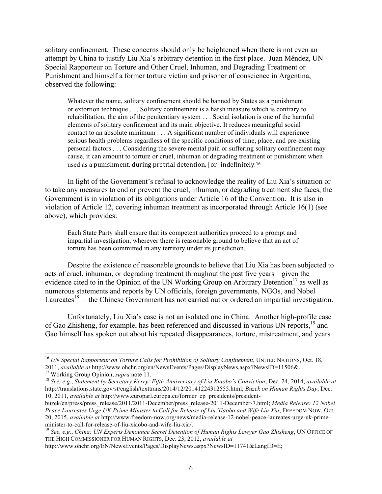solitary confinement. These concerns should only be heightened when there is not even an attempt by China to justify Liu Xia's arbitrary detention in the first place. Juan Méndez, UN Special Rapporteur on Torture and Other Cruel, Inhuman, and Degrading Treatment or Punishment and himself a former torture victim and prisoner of conscience in Argentina, observed the following:

Whatever the name, solitary confinement should be banned by States as a punishment or extortion technique . . . Solitary confinement is a harsh measure which is contrary to rehabilitation, the aim of the penitentiary system . . . Social isolation is one of the harmful elements of solitary confinement and its main objective. It reduces meaningful social contact to an absolute minimum . . . A significant number of individuals will experience serious health problems regardless of the specific conditions of time, place, and pre-existing personal factors . . . Considering the severe mental pain or suffering solitary confinement may cause, it can amount to torture or cruel, inhuman or degrading treatment or punishment when used as a punishment, during pretrial detention, [or] indefinitely.<sup>16</sup>

In light of the Government's refusal to acknowledge the reality of Liu Xia's situation or to take any measures to end or prevent the cruel, inhuman, or degrading treatment she faces, the Government is in violation of its obligations under Article 16 of the Convention. It is also in violation of Article 12, covering inhuman treatment as incorporated through Article 16(1) (see above), which provides:

Each State Party shall ensure that its competent authorities proceed to a prompt and impartial investigation, wherever there is reasonable ground to believe that an act of torture has been committed in any territory under its jurisdiction.

Despite the existence of reasonable grounds to believe that Liu Xia has been subjected to acts of cruel, inhuman, or degrading treatment throughout the past five years – given the evidence cited to in the Opinion of the UN Working Group on Arbitrary Detention<sup>17</sup> as well as numerous statements and reports by UN officials, foreign governments, NGOs, and Nobel Laureates<sup>18</sup> – the Chinese Government has not carried out or ordered an impartial investigation.

Unfortunately, Liu Xia's case is not an isolated one in China. Another high-profile case of Gao Zhisheng, for example, has been referenced and discussed in various UN reports,<sup>19</sup> and Gao himself has spoken out about his repeated disappearances, torture, mistreatment, and years

<sup>&</sup>lt;sup>16</sup> *UN Special Rapporteur on Torture Calls for Prohibition of Solitary Confinement*, UNITED NATIONS, Oct. 18,

<sup>2011,</sup> available at http://www.ohchr.org/en/NewsEvents/Pages/DisplayNews.aspx?NewsID=11506&.<br><sup>17</sup> Working Group Opinion, *supra* note 11.<br><sup>18</sup> See, e.g., Statement by Secretary Kerry: Fifth Anniversary of Liu Xiaobo's Convi http://translations.state.gov/st/english/texttrans/2014/12/20141224312555.html; *Buzek on Human Rights Day*, Dec. 10, 2011, *available at* http://www.europarl.europa.eu/former\_ep\_presidents/president-

buzek/en/press/press\_release/2011/2011-December/press\_release-2011-December-7.html; *Media Release: 12 Nobel Peace Laureates Urge UK Prime Minister to Call for Release of Liu Xiaobo and Wife Liu Xia*, FREEDOM NOW, Oct. 20, 2015, *available at* http://www.freedom-now.org/news/media-release-12-nobel-peace-laureates-urge-uk-primeminister-to-call-for-release-of-liu-xiaobo-and-wife-liu-xia/. <sup>19</sup> *See, e.g.*, *China: UN Experts Denounce Secret Detention of Human Rights Lawyer Gao Zhisheng*, UN OFFICE OF

THE HIGH COMMISSIONER FOR HUMAN RIGHTS, Dec. 23, 2012, *available at*

http://www.ohchr.org/EN/NewsEvents/Pages/DisplayNews.aspx?NewsID=11741&LangID=E;